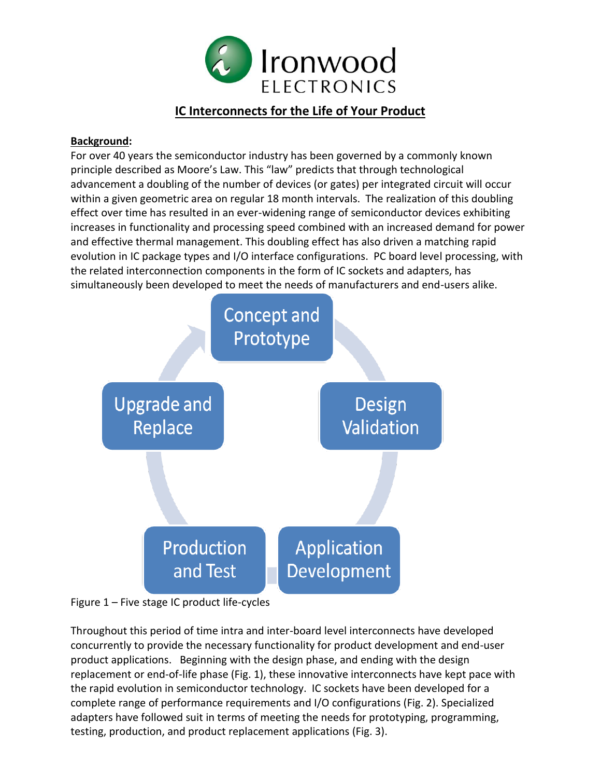

# **IC Interconnects for the Life of Your Product**

#### **Background:**

For over 40 years the semiconductor industry has been governed by a commonly known principle described as Moore's Law. This "law" predicts that through technological advancement a doubling of the number of devices (or gates) per integrated circuit will occur within a given geometric area on regular 18 month intervals. The realization of this doubling effect over time has resulted in an ever-widening range of semiconductor devices exhibiting increases in functionality and processing speed combined with an increased demand for power and effective thermal management. This doubling effect has also driven a matching rapid evolution in IC package types and I/O interface configurations. PC board level processing, with the related interconnection components in the form of IC sockets and adapters, has simultaneously been developed to meet the needs of manufacturers and end-users alike.



Figure 1 – Five stage IC product life-cycles

Throughout this period of time intra and inter-board level interconnects have developed concurrently to provide the necessary functionality for product development and end-user product applications. Beginning with the design phase, and ending with the design replacement or end-of-life phase (Fig. 1), these innovative interconnects have kept pace with the rapid evolution in semiconductor technology. IC sockets have been developed for a complete range of performance requirements and I/O configurations (Fig. 2). Specialized adapters have followed suit in terms of meeting the needs for prototyping, programming, testing, production, and product replacement applications (Fig. 3).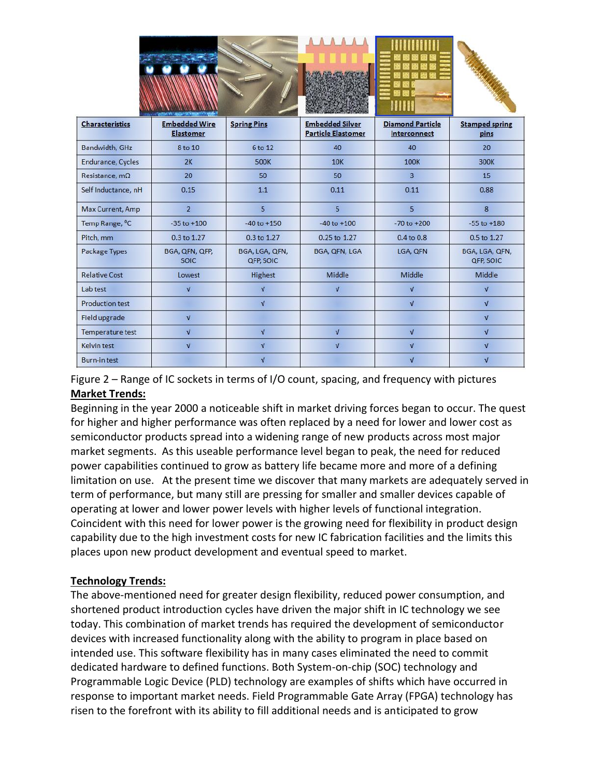|                            | <b>CONVEYASSING NAMERICA</b>             |                                    |                                                     |                                         |                                    |
|----------------------------|------------------------------------------|------------------------------------|-----------------------------------------------------|-----------------------------------------|------------------------------------|
| <b>Characteristics</b>     | <b>Embedded Wire</b><br><b>Elastomer</b> | <b>Spring Pins</b>                 | <b>Embedded Silver</b><br><b>Particle Elastomer</b> | <b>Diamond Particle</b><br>Interconnect | <b>Stamped spring</b><br>pins      |
| Bandwidth, GHz             | 8 to 10                                  | 6 to 12                            | 40                                                  | 40                                      | 20                                 |
| Endurance, Cycles          | 2K                                       | <b>500K</b>                        | 10K                                                 | <b>100K</b>                             | <b>300K</b>                        |
| Resistance, $m\Omega$      | 20                                       | 50                                 | 50                                                  | $\overline{3}$                          | 15                                 |
| Self Inductance, nH        | 0.15                                     | 1.1                                | 0.11                                                | 0.11                                    | 0.88                               |
| Max Current, Amp           | $\overline{2}$                           | 5                                  | 5                                                   | 5                                       | 8                                  |
| Temp Range, <sup>O</sup> C | $-35$ to $+100$                          | $-40$ to $+150$                    | $-40$ to $+100$                                     | $-70$ to $+200$                         | $-55$ to $+180$                    |
| Pitch, mm                  | 0.3 to 1.27                              | 0.3 to 1.27                        | 0.25 to 1.27                                        | $0.4$ to $0.8$                          | 0.5 to 1.27                        |
| Package Types              | BGA, QFN, QFP,<br><b>SOIC</b>            | BGA, LGA, QFN,<br><b>QFP, SOIC</b> | BGA, QFN, LGA                                       | LGA, QFN                                | BGA, LGA, QFN,<br><b>QFP, SOIC</b> |
| <b>Relative Cost</b>       | Lowest                                   | Highest                            | Middle                                              | Middle                                  | Middle                             |
| Lab test                   | $\sqrt{ }$                               | $\sqrt{ }$                         | $\sqrt{ }$                                          | $\sqrt{ }$                              | $\sqrt{ }$                         |
| <b>Production test</b>     |                                          | $\sqrt{ }$                         |                                                     | $\sqrt{ }$                              | $\sqrt{ }$                         |
| Field upgrade              | $\sqrt{ }$                               |                                    |                                                     |                                         | $\sqrt{ }$                         |
| Temperature test           | $\sqrt{ }$                               | $\sqrt{ }$                         | $\sqrt{ }$                                          | $\sqrt{ }$                              | $\sqrt{ }$                         |
| Kelvin test                | $\sqrt{ }$                               | $\sqrt{ }$                         | $\sqrt{ }$                                          | $\sqrt{ }$                              | $\sqrt{ }$                         |
| <b>Burn-in test</b>        |                                          | $\sqrt{ }$                         |                                                     | $\sqrt{ }$                              | $\sqrt{ }$                         |

Figure 2 – Range of IC sockets in terms of I/O count, spacing, and frequency with pictures **Market Trends:**

Beginning in the year 2000 a noticeable shift in market driving forces began to occur. The quest for higher and higher performance was often replaced by a need for lower and lower cost as semiconductor products spread into a widening range of new products across most major market segments. As this useable performance level began to peak, the need for reduced power capabilities continued to grow as battery life became more and more of a defining limitation on use. At the present time we discover that many markets are adequately served in term of performance, but many still are pressing for smaller and smaller devices capable of operating at lower and lower power levels with higher levels of functional integration. Coincident with this need for lower power is the growing need for flexibility in product design capability due to the high investment costs for new IC fabrication facilities and the limits this places upon new product development and eventual speed to market.

## **Technology Trends:**

The above-mentioned need for greater design flexibility, reduced power consumption, and shortened product introduction cycles have driven the major shift in IC technology we see today. This combination of market trends has required the development of semiconductor devices with increased functionality along with the ability to program in place based on intended use. This software flexibility has in many cases eliminated the need to commit dedicated hardware to defined functions. Both System-on-chip (SOC) technology and Programmable Logic Device (PLD) technology are examples of shifts which have occurred in response to important market needs. Field Programmable Gate Array (FPGA) technology has risen to the forefront with its ability to fill additional needs and is anticipated to grow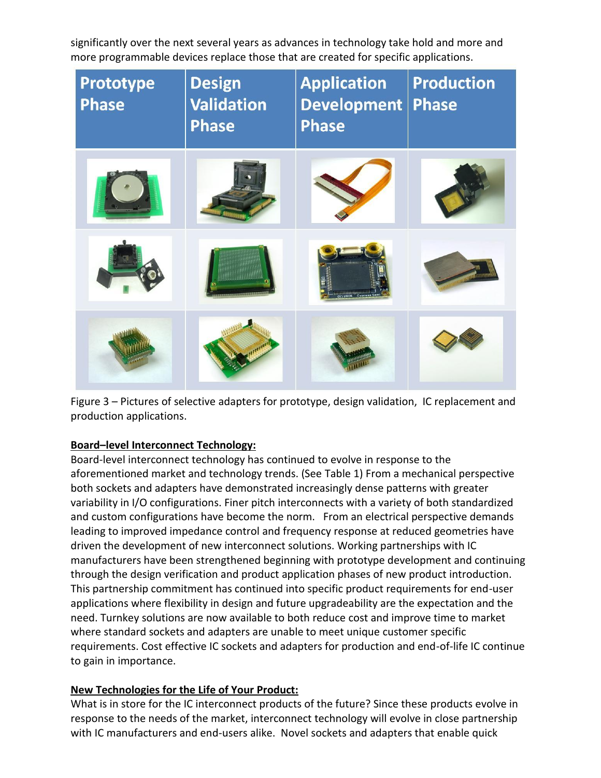significantly over the next several years as advances in technology take hold and more and more programmable devices replace those that are created for specific applications.

| Prototype<br><b>Phase</b> | <b>Design</b><br><b>Validation</b><br><b>Phase</b> | <b>Application</b><br><b>Development</b><br><b>Phase</b> | <b>Production</b><br><b>Phase</b> |
|---------------------------|----------------------------------------------------|----------------------------------------------------------|-----------------------------------|
|                           |                                                    |                                                          |                                   |
|                           |                                                    |                                                          |                                   |
|                           |                                                    |                                                          |                                   |

Figure 3 – Pictures of selective adapters for prototype, design validation, IC replacement and production applications.

## **Board–level Interconnect Technology:**

Board-level interconnect technology has continued to evolve in response to the aforementioned market and technology trends. (See Table 1) From a mechanical perspective both sockets and adapters have demonstrated increasingly dense patterns with greater variability in I/O configurations. Finer pitch interconnects with a variety of both standardized and custom configurations have become the norm. From an electrical perspective demands leading to improved impedance control and frequency response at reduced geometries have driven the development of new interconnect solutions. Working partnerships with IC manufacturers have been strengthened beginning with prototype development and continuing through the design verification and product application phases of new product introduction. This partnership commitment has continued into specific product requirements for end-user applications where flexibility in design and future upgradeability are the expectation and the need. Turnkey solutions are now available to both reduce cost and improve time to market where standard sockets and adapters are unable to meet unique customer specific requirements. Cost effective IC sockets and adapters for production and end-of-life IC continue to gain in importance.

## **New Technologies for the Life of Your Product:**

What is in store for the IC interconnect products of the future? Since these products evolve in response to the needs of the market, interconnect technology will evolve in close partnership with IC manufacturers and end-users alike. Novel sockets and adapters that enable quick